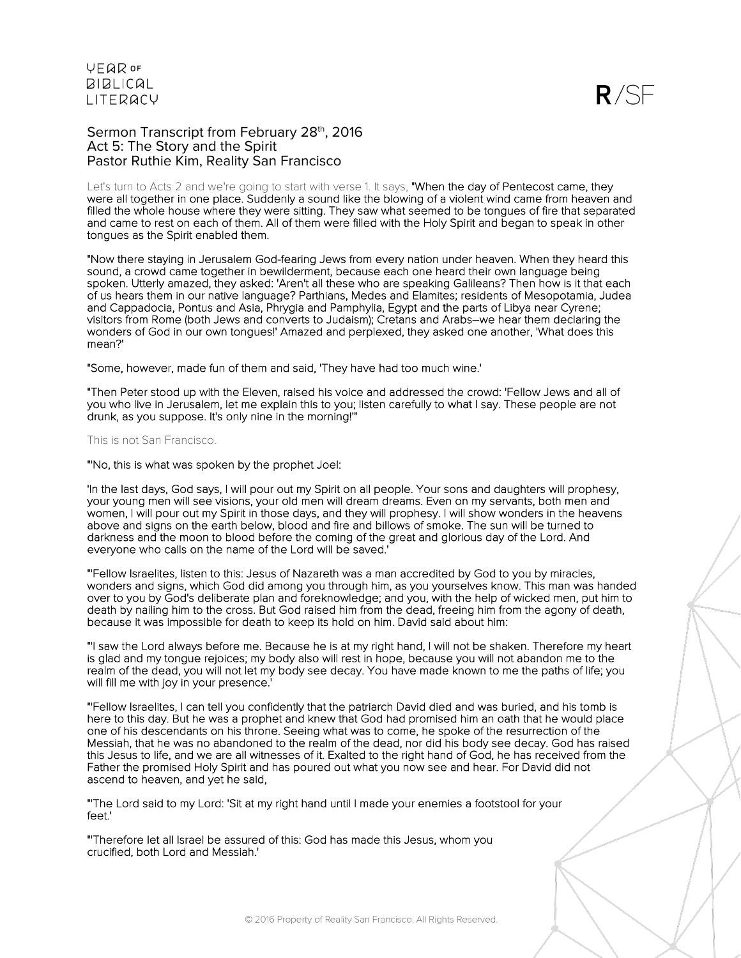$R/SF$ 

Sermon Transcript from February 28th, 2016 Act 5: The Story and the Spirit Pastor Ruthie Kim, Reality San Francisco

Let's turn to Acts 2 and we're going to start with verse 1. It says, "When the day of Pentecost came, they were all together in one place. Suddenly a sound like the blowing of a violent wind came from heaven and filled the whole house where they were sitting. They saw what seemed to be tongues of fire that separated and came to rest on each of them. All of them were filled with the Holy Spirit and began to speak in other tongues as the Spirit enabled them.

"Now there staying in Jerusalem God-fearing Jews from every nation under heaven. When they heard this sound, a crowd came together in bewilderment, because each one heard their own language being spoken. Utterly amazed, they asked: 'Aren't all these who are speaking Galileans? Then how is it that each of us hears them in our native language? Parthians, Medes and Elamites; residents of Mesopotamia, Judea and Cappadocia, Pontus and Asia, Phrygia and Pamphylia, Egypt and the parts of Libya near Cyrene; visitors from Rome (both Jews and converts to Judaism); Cretans and Arabs–we hear them declaring the wonders of God in our own tongues!' Amazed and perplexed, they asked one another, 'What does this mean?'

"Some, however, made fun of them and said, 'They have had too much wine.'

"Then Peter stood up with the Eleven, raised his voice and addressed the crowd: 'Fellow Jews and all of you who live in Jerusalem, let me explain this to you; listen carefully to what I say. These people are not drunk, as you suppose. It's only nine in the morning!'"

#### This is not San Francisco.

"'No, this is what was spoken by the prophet Joel:

'In the last days, God says, I will pour out my Spirit on all people. Your sons and daughters will prophesy, your young men will see visions, your old men will dream dreams. Even on my servants, both men and women, I will pour out my Spirit in those days, and they will prophesy. I will show wonders in the heavens above and signs on the earth below, blood and fire and billows of smoke. The sun will be turned to darkness and the moon to blood before the coming of the great and glorious day of the Lord. And everyone who calls on the name of the Lord will be saved.'

"'Fellow Israelites, listen to this: Jesus of Nazareth was a man accredited by God to you by miracles, wonders and signs, which God did among you through him, as you yourselves know. This man was handed over to you by God's deliberate plan and foreknowledge; and you, with the help of wicked men, put him to death by nailing him to the cross. But God raised him from the dead, freeing him from the agony of death, because it was impossible for death to keep its hold on him. David said about him:

"'I saw the Lord always before me. Because he is at my right hand, I will not be shaken. Therefore my heart is glad and my tongue rejoices; my body also will rest in hope, because you will not abandon me to the realm of the dead, you will not let my body see decay. You have made known to me the paths of life; you will fill me with joy in your presence.'

"'Fellow Israelites, I can tell you confidently that the patriarch David died and was buried, and his tomb is here to this day. But he was a prophet and knew that God had promised him an oath that he would place one of his descendants on his throne. Seeing what was to come, he spoke of the resurrection of the Messiah, that he was no abandoned to the realm of the dead, nor did his body see decay. God has raised this Jesus to life, and we are all witnesses of it. Exalted to the right hand of God, he has received from the Father the promised Holy Spirit and has poured out what you now see and hear. For David did not ascend to heaven, and yet he said,

"'The Lord said to my Lord: 'Sit at my right hand until I made your enemies a footstool for your feet.'

"'Therefore let all Israel be assured of this: God has made this Jesus, whom you crucified, both Lord and Messiah.'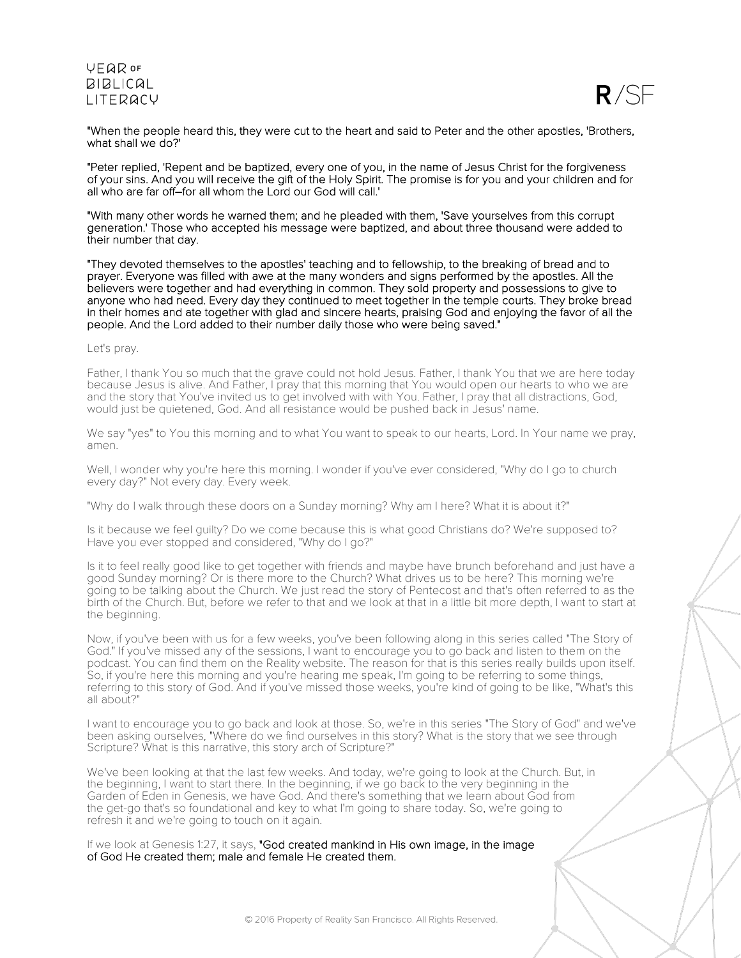

"When the people heard this, they were cut to the heart and said to Peter and the other apostles, 'Brothers, what shall we do?'

"Peter replied, 'Repent and be baptized, every one of you, in the name of Jesus Christ for the forgiveness of your sins. And you will receive the gift of the Holy Spirit. The promise is for you and your children and for all who are far off–for all whom the Lord our God will call.'

"With many other words he warned them; and he pleaded with them, 'Save yourselves from this corrupt generation.' Those who accepted his message were baptized, and about three thousand were added to their number that day.

"They devoted themselves to the apostles' teaching and to fellowship, to the breaking of bread and to prayer. Everyone was filled with awe at the many wonders and signs performed by the apostles. All the believers were together and had everything in common. They sold property and possessions to give to anyone who had need. Every day they continued to meet together in the temple courts. They broke bread in their homes and ate together with glad and sincere hearts, praising God and enjoying the favor of all the people. And the Lord added to their number daily those who were being saved."

### Let's pray.

Father, I thank You so much that the grave could not hold Jesus. Father, I thank You that we are here today because Jesus is alive. And Father, I pray that this morning that You would open our hearts to who we are and the story that You've invited us to get involved with with You. Father, I pray that all distractions, God, would just be quietened, God. And all resistance would be pushed back in Jesus' name.

We say "yes" to You this morning and to what You want to speak to our hearts, Lord. In Your name we pray, amen.

Well, I wonder why you're here this morning. I wonder if you've ever considered, "Why do I go to church every day?" Not every day. Every week.

"Why do I walk through these doors on a Sunday morning? Why am I here? What it is about it?"

Is it because we feel guilty? Do we come because this is what good Christians do? We're supposed to? Have you ever stopped and considered, "Why do I go?"

Is it to feel really good like to get together with friends and maybe have brunch beforehand and just have a good Sunday morning? Or is there more to the Church? What drives us to be here? This morning we're going to be talking about the Church. We just read the story of Pentecost and that's often referred to as the birth of the Church. But, before we refer to that and we look at that in a little bit more depth, I want to start at the beginning.

Now, if you've been with us for a few weeks, you've been following along in this series called "The Story of God." If you've missed any of the sessions, I want to encourage you to go back and listen to them on the podcast. You can find them on the Reality website. The reason for that is this series really builds upon itself. So, if you're here this morning and you're hearing me speak, I'm going to be referring to some things, referring to this story of God. And if you've missed those weeks, you're kind of going to be like, "What's this all about?"

I want to encourage you to go back and look at those. So, we're in this series "The Story of God" and we've been asking ourselves, "Where do we find ourselves in this story? What is the story that we see through Scripture? What is this narrative, this story arch of Scripture?"

We've been looking at that the last few weeks. And today, we're going to look at the Church. But, in the beginning, I want to start there. In the beginning, if we go back to the very beginning in the Garden of Eden in Genesis, we have God. And there's something that we learn about God from the get-go that's so foundational and key to what I'm going to share today. So, we're going to refresh it and we're going to touch on it again.

If we look at Genesis 1:27, it says, "God created mankind in His own image, in the image of God He created them; male and female He created them.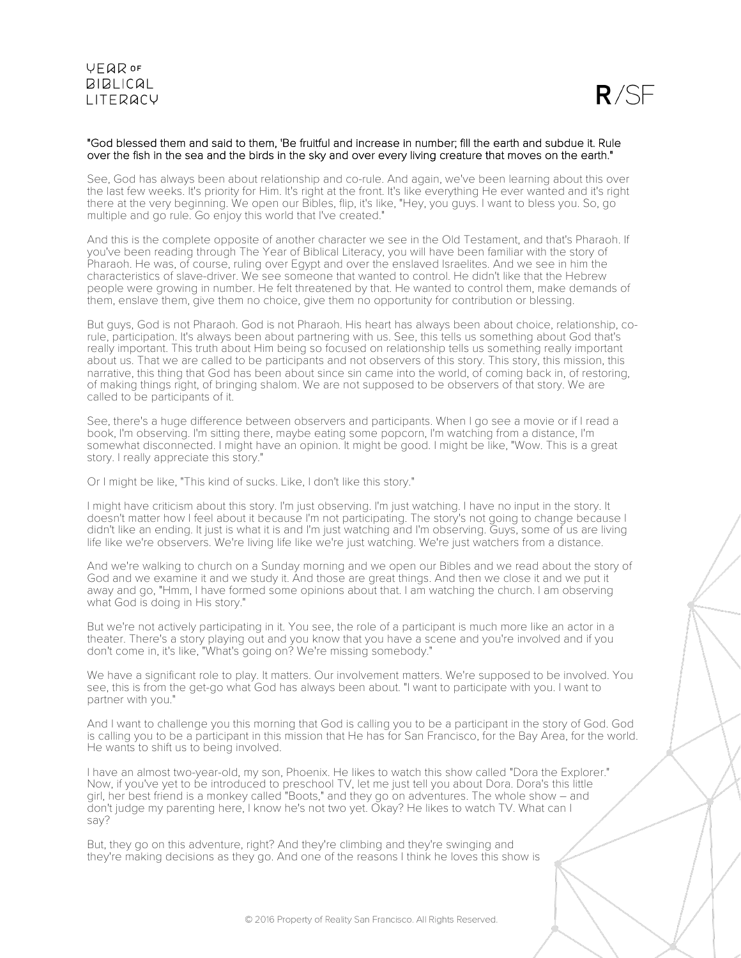

### "God blessed them and said to them, 'Be fruitful and increase in number; fill the earth and subdue it. Rule over the fish in the sea and the birds in the sky and over every living creature that moves on the earth."

See, God has always been about relationship and co-rule. And again, we've been learning about this over the last few weeks. It's priority for Him. It's right at the front. It's like everything He ever wanted and it's right there at the very beginning. We open our Bibles, flip, it's like, "Hey, you guys. I want to bless you. So, go multiple and go rule. Go enjoy this world that I've created."

And this is the complete opposite of another character we see in the Old Testament, and that's Pharaoh. If you've been reading through The Year of Biblical Literacy, you will have been familiar with the story of Pharaoh. He was, of course, ruling over Egypt and over the enslaved Israelites. And we see in him the characteristics of slave-driver. We see someone that wanted to control. He didn't like that the Hebrew people were growing in number. He felt threatened by that. He wanted to control them, make demands of them, enslave them, give them no choice, give them no opportunity for contribution or blessing.

But guys, God is not Pharaoh. God is not Pharaoh. His heart has always been about choice, relationship, corule, participation. It's always been about partnering with us. See, this tells us something about God that's really important. This truth about Him being so focused on relationship tells us something really important about us. That we are called to be participants and not observers of this story. This story, this mission, this narrative, this thing that God has been about since sin came into the world, of coming back in, of restoring, of making things right, of bringing shalom. We are not supposed to be observers of that story. We are called to be participants of it.

See, there's a huge difference between observers and participants. When I go see a movie or if I read a book, I'm observing. I'm sitting there, maybe eating some popcorn, I'm watching from a distance, I'm somewhat disconnected. I might have an opinion. It might be good. I might be like, "Wow. This is a great story. I really appreciate this story."

Or I might be like, "This kind of sucks. Like, I don't like this story."

I might have criticism about this story. I'm just observing. I'm just watching. I have no input in the story. It doesn't matter how I feel about it because I'm not participating. The story's not going to change because I didn't like an ending. It just is what it is and I'm just watching and I'm observing. Guys, some of us are living life like we're observers. We're living life like we're just watching. We're just watchers from a distance.

And we're walking to church on a Sunday morning and we open our Bibles and we read about the story of God and we examine it and we study it. And those are great things. And then we close it and we put it away and go, "Hmm, I have formed some opinions about that. I am watching the church. I am observing what God is doing in His story."

But we're not actively participating in it. You see, the role of a participant is much more like an actor in a theater. There's a story playing out and you know that you have a scene and you're involved and if you don't come in, it's like, "What's going on? We're missing somebody."

We have a significant role to play. It matters. Our involvement matters. We're supposed to be involved. You see, this is from the get-go what God has always been about. "I want to participate with you. I want to partner with you."

And I want to challenge you this morning that God is calling you to be a participant in the story of God. God is calling you to be a participant in this mission that He has for San Francisco, for the Bay Area, for the world. He wants to shift us to being involved.

I have an almost two-year-old, my son, Phoenix. He likes to watch this show called "Dora the Explorer." Now, if you've yet to be introduced to preschool TV, let me just tell you about Dora. Dora's this little girl, her best friend is a monkey called "Boots," and they go on adventures. The whole show – and don't judge my parenting here, I know he's not two yet. Okay? He likes to watch TV. What can I say?

But, they go on this adventure, right? And they're climbing and they're swinging and they're making decisions as they go. And one of the reasons I think he loves this show is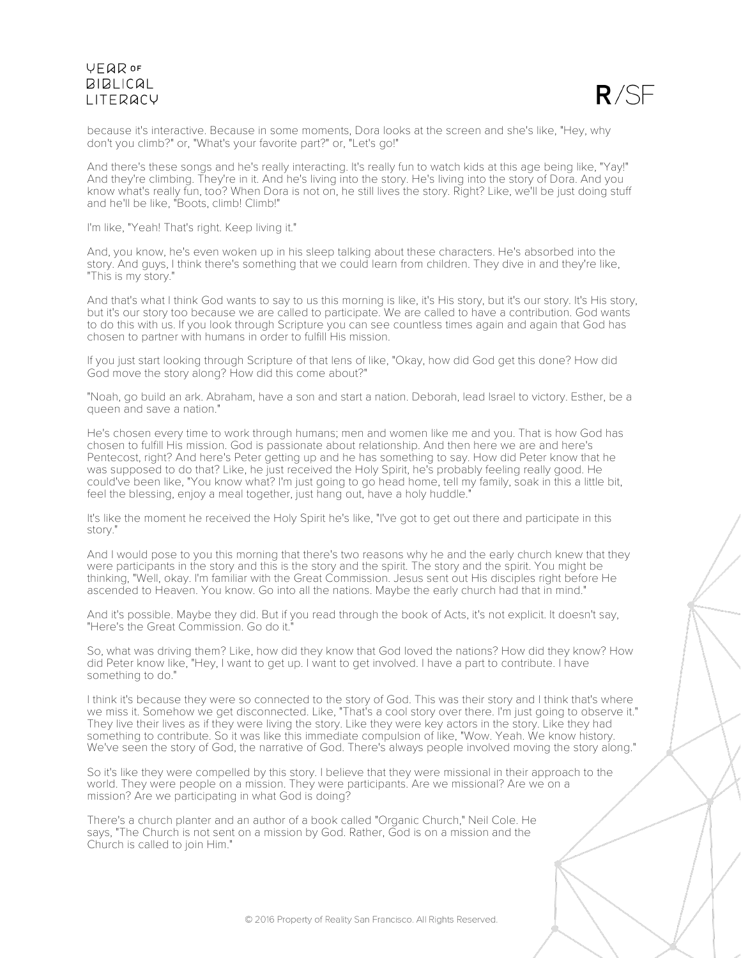

because it's interactive. Because in some moments, Dora looks at the screen and she's like, "Hey, why don't you climb?" or, "What's your favorite part?" or, "Let's go!"

And there's these songs and he's really interacting. It's really fun to watch kids at this age being like, "Yay!" And they're climbing. They're in it. And he's living into the story. He's living into the story of Dora. And you know what's really fun, too? When Dora is not on, he still lives the story. Right? Like, we'll be just doing stuff and he'll be like, "Boots, climb! Climb!"

I'm like, "Yeah! That's right. Keep living it."

And, you know, he's even woken up in his sleep talking about these characters. He's absorbed into the story. And guys, I think there's something that we could learn from children. They dive in and they're like, "This is my story."

And that's what I think God wants to say to us this morning is like, it's His story, but it's our story. It's His story, but it's our story too because we are called to participate. We are called to have a contribution. God wants to do this with us. If you look through Scripture you can see countless times again and again that God has chosen to partner with humans in order to fulfill His mission.

If you just start looking through Scripture of that lens of like, "Okay, how did God get this done? How did God move the story along? How did this come about?"

"Noah, go build an ark. Abraham, have a son and start a nation. Deborah, lead Israel to victory. Esther, be a queen and save a nation."

He's chosen every time to work through humans; men and women like me and you. That is how God has chosen to fulfill His mission. God is passionate about relationship. And then here we are and here's Pentecost, right? And here's Peter getting up and he has something to say. How did Peter know that he was supposed to do that? Like, he just received the Holy Spirit, he's probably feeling really good. He could've been like, "You know what? I'm just going to go head home, tell my family, soak in this <sup>a</sup> little bit, feel the blessing, enjoy <sup>a</sup> meal together, just hang out, have <sup>a</sup> holy huddle."

It's like the moment he received the Holy Spirit he's like, "I've got to get out there and participate in this story."

And I would pose to you this morning that there's two reasons why he and the early church knew that they were participants in the story and this is the story and the spirit. The story and the spirit. You might be thinking, "Well, okay. I'm familiar with the Great Commission. Jesus sent out His disciples right before He ascended to Heaven. You know. Go into all the nations. Maybe the early church had that in mind."

And it's possible. Maybe they did. But if you read through the book of Acts, it's not explicit. It doesn't say, "Here's the Great Commission. Go do it."

So, what was driving them? Like, how did they know that God loved the nations? How did they know? How did Peter know like, "Hey, I want to get up. I want to get involved. I have a part to contribute. I have something to do."

I think it's because they were so connected to the story of God. This was their story and I think that's where we miss it. Somehow we get disconnected. Like, "That's a cool story over there. I'm just going to observe it." They live their lives as if they were living the story. Like they were key actors in the story. Like they had something to contribute. So it was like this immediate compulsion of like, "Wow. Yeah. We know history. We've seen the story of God, the narrative of God. There's always people involved moving the story along."

So it's like they were compelled by this story. I believe that they were missional in their approach to the world. They were people on a mission. They were participants. Are we missional? Are we on a mission? Are we participating in what God is doing?

There's a church planter and an author of a book called "Organic Church," Neil Cole. He says, "The Church is not sent on a mission by God. Rather, God is on a mission and the Church is called to join Him."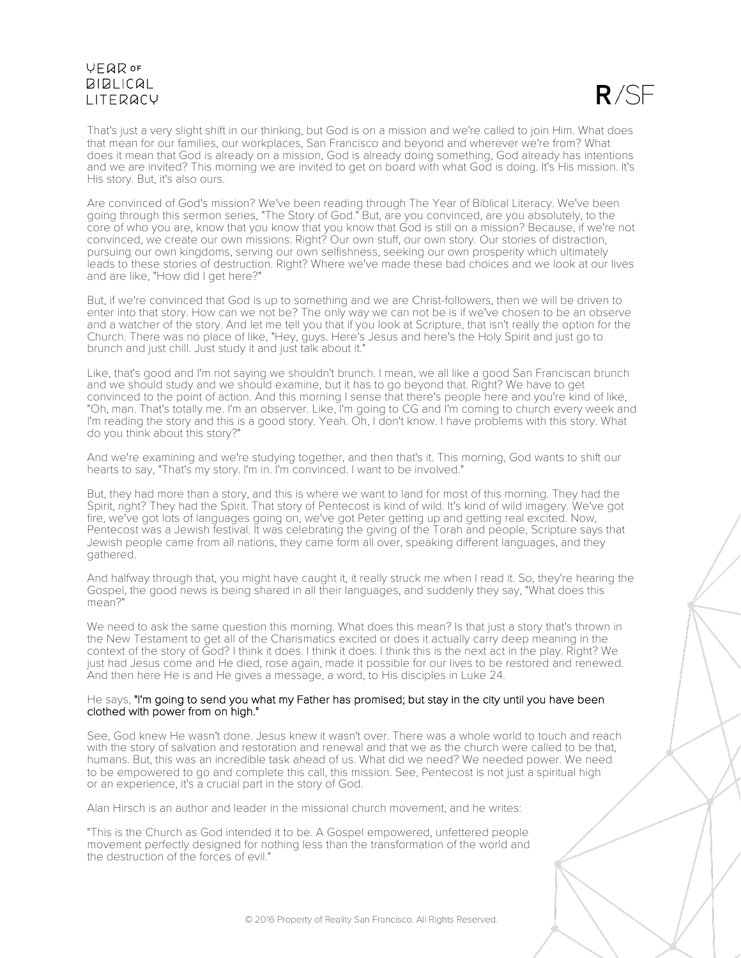

That's just a very slight shift in our thinking, but God is on a mission and we're called to join Him. What does that mean for our families, our workplaces, San Francisco and beyond and wherever we're from? What does it mean that God is already on a mission, God is already doing something, God already has intentions and we are invited? This morning we are invited to get on board with what God is doing. It's His mission. It's His story. But, it's also ours.

Are convinced of God's mission? We've been reading through The Year of Biblical Literacy. We've been going through this sermon series, "The Story of God." But, are you convinced, are you absolutely, to the core of who you are, know that you know that you know that God is still on a mission? Because, if we're not convinced, we create our own missions. Right? Our own stuff, our own story. Our stories of distraction, pursuing our own kingdoms, serving our own selfishness, seeking our own prosperity which ultimately leads to these stories of destruction. Right? Where we've made these bad choices and we look at our lives and are like, "How did I get here?"

But, if we're convinced that God is up to something and we are Christ-followers, then we will be driven to enter into that story. How can we not be? The only way we can not be is if we've chosen to be an observe and a watcher of the story. And let me tell you that if you look at Scripture, that isn't really the option for the Church. There was no place of like, "Hey, guys. Here's Jesus and here's the Holy Spirit and just go to brunch and just chill. Just study it and just talk about it."

Like, that's good and I'm not saying we shouldn't brunch. I mean, we all like a good San Franciscan brunch and we should study and we should examine, but it has to go beyond that. Right? We have to get convinced to the point of action. And this morning I sense that there's people here and you're kind of like, "Oh, man. That's totally me. I'm an observer. Like, I'm going to CG and I'm coming to church every week and I'm reading the story and this is a good story. Yeah. Oh, I don't know. I have problems with this story. What do you think about this story?"

And we're examining and we're studying together, and then that's it. This morning, God wants to shift our hearts to say, "That's my story. I'm in. I'm convinced. I want to be involved."

But, they had more than a story, and this is where we want to land for most of this morning. They had the Spirit, right? They had the Spirit. That story of Pentecost is kind of wild. It's kind of wild imagery. We've got fire, we've got lots of languages going on, we've got Peter getting up and getting real excited. Now, Pentecost was a Jewish festival. It was celebrating the giving of the Torah and people, Scripture says that Jewish people came from all nations, they came form all over, speaking different languages, and they gathered.

And halfway through that, you might have caught it, it really struck me when I read it. So, they're hearing the Gospel, the good news is being shared in all their languages, and suddenly they say, "What does this mean?"

We need to ask the same question this morning. What does this mean? Is that just a story that's thrown in the New Testament to get all of the Charismatics excited or does it actually carry deep meaning in the context of the story of God? I think it does. I think it does. I think this is the next act in the play. Right? We just had Jesus come and He died, rose again, made it possible for our lives to be restored and renewed. And then here He is and He gives a message, a word, to His disciples in Luke 24.

### He says, "I'm going to send you what my Father has promised; but stay in the city until you have been clothed with power from on high."

See, God knew He wasn't done. Jesus knew it wasn't over. There was a whole world to touch and reach with the story of salvation and restoration and renewal and that we as the church were called to be that, humans. But, this was an incredible task ahead of us. What did we need? We needed power. We need to be empowered to go and complete this call, this mission. See, Pentecost is not just a spiritual high or an experience, it's a crucial part in the story of God.

Alan Hirsch is an author and leader in the missional church movement, and he writes:

"This is the Church as God intended it to be. A Gospel empowered, unfettered people movement perfectly designed for nothing less than the transformation of the world and the destruction of the forces of evil."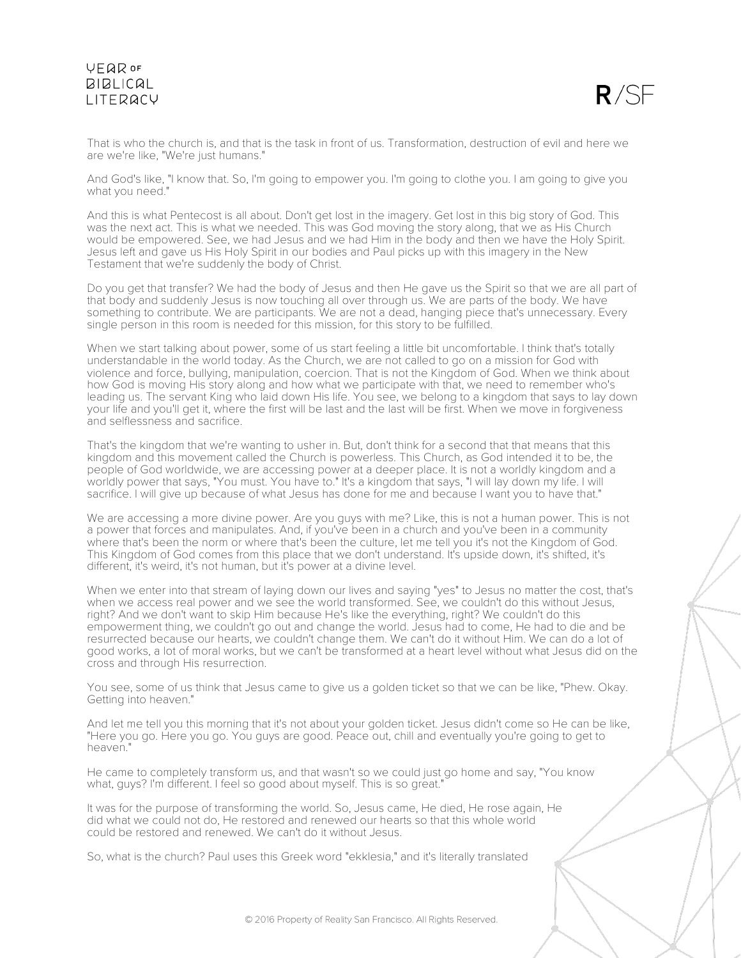

That is who the church is, and that is the task in front of us. Transformation, destruction of evil and here we are we're like, "We're just humans."

And God's like, "I know that. So, I'm going to empower you. I'm going to clothe you. I am going to give you what you need."

And this is what Pentecost is all about. Don't get lost in the imagery. Get lost in this big story of God. This was the next act. This is what we needed. This was God moving the story along, that we as His Church would be empowered. See, we had Jesus and we had Him in the body and then we have the Holy Spirit. Jesus left and gave us His Holy Spirit in our bodies and Paul picks up with this imagery in the New Testament that we're suddenly the body of Christ.

Do you get that transfer? We had the body of Jesus and then He gave us the Spirit so that we are all part of that body and suddenly Jesus is now touching all over through us. We are parts of the body. We have something to contribute. We are participants. We are not a dead, hanging piece that's unnecessary. Every single person in this room is needed for this mission, for this story to be fulfilled.

When we start talking about power, some of us start feeling a little bit uncomfortable. I think that's totally understandable in the world today. As the Church, we are not called to go on a mission for God with violence and force, bullying, manipulation, coercion. That is not the Kingdom of God. When we think about how God is moving His story along and how what we participate with that, we need to remember who's leading us. The servant King who laid down His life. You see, we belong to a kingdom that says to lay down your life and you'll get it, where the first will be last and the last will be first. When we move in forgiveness and selflessness and sacrifice.

That's the kingdom that we're wanting to usher in. But, don't think for a second that that means that this kingdom and this movement called the Church is powerless. This Church, as God intended it to be, the people of God worldwide, we are accessing power at a deeper place. It is not a worldly kingdom and a worldly power that says, "You must. You have to." It's a kingdom that says, "I will lay down my life. I will sacrifice. I will give up because of what Jesus has done for me and because I want you to have that."

We are accessing a more divine power. Are you guys with me? Like, this is not a human power. This is not a power that forces and manipulates. And, if you've been in a church and you've been in a community where that's been the norm or where that's been the culture, let me tell you it's not the Kingdom of God. This Kingdom of God comes from this place that we don't understand. It's upside down, it's shifted, it's different, it's weird, it's not human, but it's power at a divine level.

When we enter into that stream of laying down our lives and saying "yes" to Jesus no matter the cost, that's when we access real power and we see the world transformed. See, we couldn't do this without Jesus, right? And we don't want to skip Him because He's like the everything, right? We couldn't do this empowerment thing, we couldn't go out and change the world. Jesus had to come, He had to die and be resurrected because our hearts, we couldn't change them. We can't do it without Him. We can do a lot of good works, a lot of moral works, but we can't be transformed at a heart level without what Jesus did on the cross and through His resurrection.

You see, some of us think that Jesus came to give us a golden ticket so that we can be like, "Phew. Okay. Getting into heaven."

And let me tell you this morning that it's not about your golden ticket. Jesus didn't come so He can be like, "Here you go. Here you go. You guys are good. Peace out, chill and eventually you're going to get to heaven."

He came to completely transform us, and that wasn't so we could just go home and say, "You know what, guys? I'm different. I feel so good about myself. This is so great."

It was for the purpose of transforming the world. So, Jesus came, He died, He rose again, He did what we could not do, He restored and renewed our hearts so that this whole world could be restored and renewed. We can't do it without Jesus.

So, what is the church? Paul uses this Greek word "ekklesia," and it's literally translated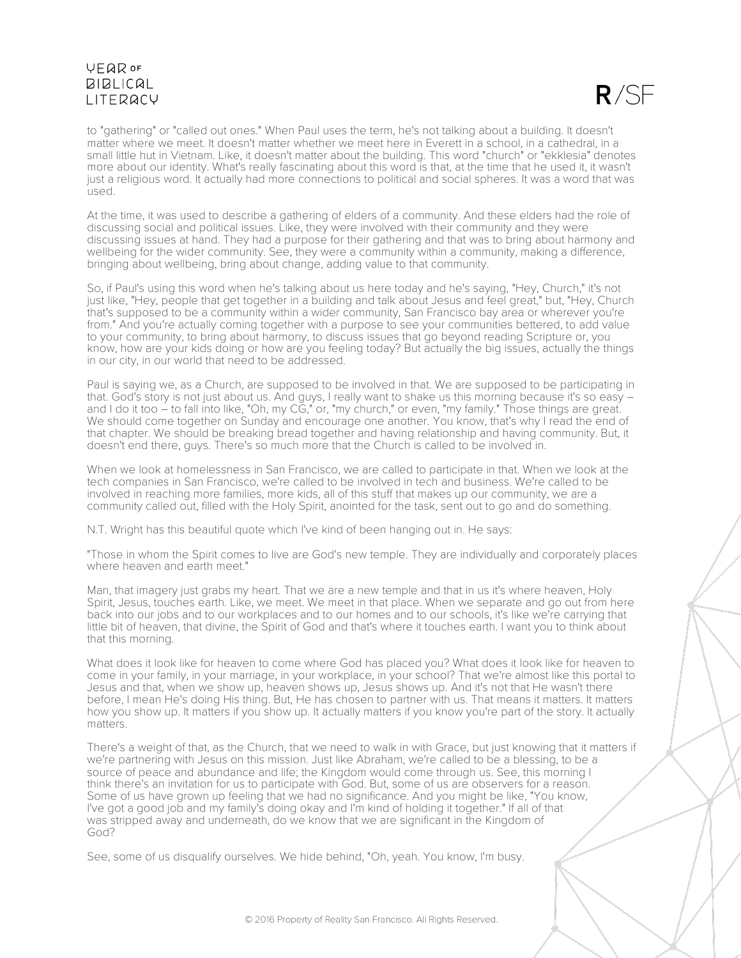

to "gathering" or "called out ones." When Paul uses the term, he's not talking about a building. It doesn't matter where we meet. It doesn't matter whether we meet here in Everett in a school, in a cathedral, in a small little hut in Vietnam. Like, it doesn't matter about the building. This word "church" or "ekklesia" denotes more about our identity. What's really fascinating about this word is that, at the time that he used it, it wasn't just a religious word. It actually had more connections to political and social spheres. It was a word that was used.

At the time, it was used to describe a gathering of elders of a community. And these elders had the role of discussing social and political issues. Like, they were involved with their community and they were discussing issues at hand. They had a purpose for their gathering and that was to bring about harmony and wellbeing for the wider community. See, they were a community within a community, making a difference, bringing about wellbeing, bring about change, adding value to that community.

So, if Paul's using this word when he's talking about us here today and he's saying, "Hey, Church," it's not just like, "Hey, people that get together in a building and talk about Jesus and feel great," but, "Hey, Church that's supposed to be a community within a wider community, San Francisco bay area or wherever you're from." And you're actually coming together with a purpose to see your communities bettered, to add value to your community, to bring about harmony, to discuss issues that go beyond reading Scripture or, you know, how are your kids doing or how are you feeling today? But actually the big issues, actually the things in our city, in our world that need to be addressed.

Paul is saying we, as a Church, are supposed to be involved in that. We are supposed to be participating in that. God's story is not just about us. And guys, I really want to shake us this morning because it's so easy – and I do it too – to fall into like, "Oh, my CG," or, "my church," or even, "my family." Those things are great. We should come together on Sunday and encourage one another. You know, that's why I read the end of that chapter. We should be breaking bread together and having relationship and having community. But, it doesn't end there, guys. There's so much more that the Church is called to be involved in.

When we look at homelessness in San Francisco, we are called to participate in that. When we look at the tech companies in San Francisco, we're called to be involved in tech and business. We're called to be involved in reaching more families, more kids, all of this stuff that makes up our community, we are a community called out, filled with the Holy Spirit, anointed for the task, sent out to go and do something.

N.T. Wright has this beautiful quote which I've kind of been hanging out in. He says:

"Those in whom the Spirit comes to live are God's new temple. They are individually and corporately places where heaven and earth meet."

Man, that imagery just grabs my heart. That we are a new temple and that in us it's where heaven, Holy Spirit, Jesus, touches earth. Like, we meet. We meet in that place. When we separate and go out from here back into our jobs and to our workplaces and to our homes and to our schools, it's like we're carrying that little bit of heaven, that divine, the Spirit of God and that's where it touches earth. I want you to think about that this morning.

What does it look like for heaven to come where God has placed you? What does it look like for heaven to come in your family, in your marriage, in your workplace, in your school? That we're almost like this portal to Jesus and that, when we show up, heaven shows up, Jesus shows up. And it's not that He wasn't there before, I mean He's doing His thing. But, He has chosen to partner with us. That means it matters. It matters how you show up. It matters if you show up. It actually matters if you know you're part of the story. It actually matters.

There's a weight of that, as the Church, that we need to walk in with Grace, but just knowing that it matters if we're partnering with Jesus on this mission. Just like Abraham, we're called to be a blessing, to be a source of peace and abundance and life; the Kingdom would come through us. See, this morning I think there's an invitation for us to participate with God. But, some of us are observers for a reason. Some of us have grown up feeling that we had no significance. And you might be like, "You know, I've got a good job and my family's doing okay and I'm kind of holding it together." If all of that was stripped away and underneath, do we know that we are significant in the Kingdom of God?

See, some of us disqualify ourselves. We hide behind, "Oh, yeah. You know, I'm busy.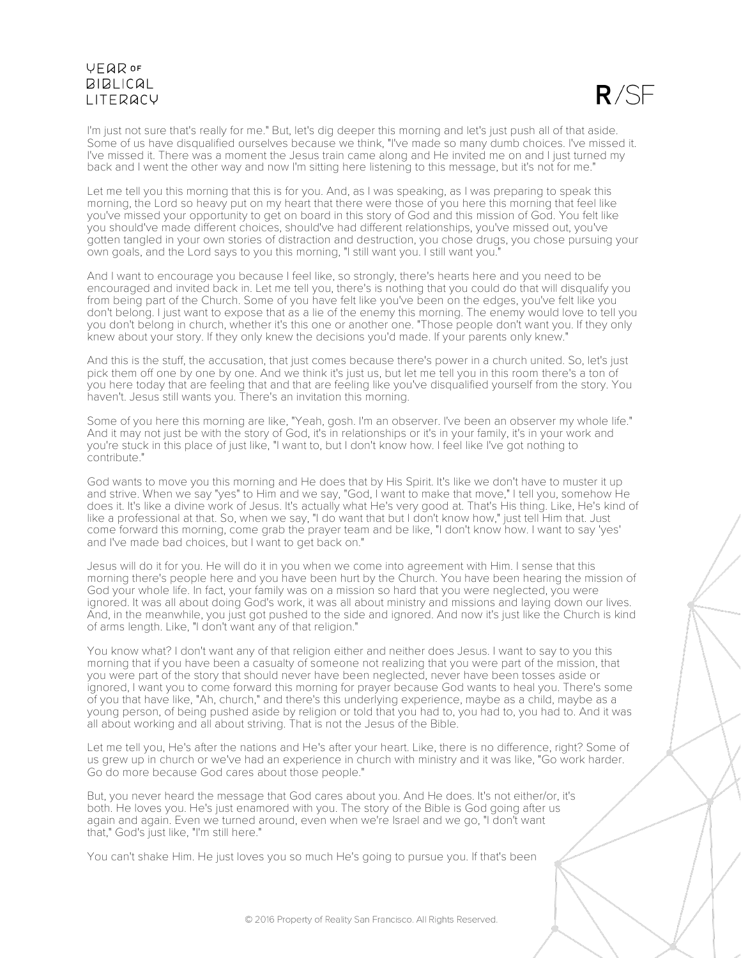$R/SF$ 

I'm just not sure that's really for me." But, let's dig deeper this morning and let's just push all of that aside. Some of us have disqualified ourselves because we think, "I've made so many dumb choices. I've missed it. I've missed it. There was a moment the Jesus train came along and He invited me on and I just turned my back and I went the other way and now I'm sitting here listening to this message, but it's not for me."

Let me tell you this morning that this is for you. And, as I was speaking, as I was preparing to speak this morning, the Lord so heavy put on my heart that there were those of you here this morning that feel like you've missed your opportunity to get on board in this story of God and this mission of God. You felt like you should've made different choices, should've had different relationships, you've missed out, you've gotten tangled in your own stories of distraction and destruction, you chose drugs, you chose pursuing your own goals, and the Lord says to you this morning, "I still want you. I still want you."

And I want to encourage you because I feel like, so strongly, there's hearts here and you need to be encouraged and invited back in. Let me tell you, there's is nothing that you could do that will disqualify you from being part of the Church. Some of you have felt like you've been on the edges, you've felt like you don't belong. I just want to expose that as a lie of the enemy this morning. The enemy would love to tell you you don't belong in church, whether it's this one or another one. "Those people don't want you. If they only knew about your story. If they only knew the decisions you'd made. If your parents only knew."

And this is the stuff, the accusation, that just comes because there's power in a church united. So, let's just pick them off one by one by one. And we think it's just us, but let me tell you in this room there's a ton of you here today that are feeling that and that are feeling like you've disqualified yourself from the story. You haven't. Jesus still wants you. There's an invitation this morning.

Some of you here this morning are like, "Yeah, gosh. I'm an observer. I've been an observer my whole life." And it may not just be with the story of God, it's in relationships or it's in your family, it's in your work and you're stuck in this place of just like, "I want to, but I don't know how. I feel like I've got nothing to contribute."

God wants to move you this morning and He does that by His Spirit. It's like we don't have to muster it up and strive. When we say "yes" to Him and we say, "God, I want to make that move," I tell you, somehow He does it. It's like a divine work of Jesus. It's actually what He's very good at. That's His thing. Like, He's kind of like a professional at that. So, when we say, "I do want that but I don't know how," just tell Him that. Just come forward this morning, come grab the prayer team and be like, "I don't know how. I want to say 'yes' and I've made bad choices, but I want to get back on."

Jesus will do it for you. He will do it in you when we come into agreement with Him. I sense that this morning there's people here and you have been hurt by the Church. You have been hearing the mission of God your whole life. In fact, your family was on a mission so hard that you were neglected, you were ignored. It was all about doing God's work, it was all about ministry and missions and laying down our lives. And, in the meanwhile, you just got pushed to the side and ignored. And now it's just like the Church is kind of arms length. Like, "I don't want any of that religion."

You know what? I don't want any of that religion either and neither does Jesus. I want to say to you this morning that if you have been a casualty of someone not realizing that you were part of the mission, that you were part of the story that should never have been neglected, never have been tosses aside or ignored, I want you to come forward this morning for prayer because God wants to heal you. There's some of you that have like, "Ah, church," and there's this underlying experience, maybe as a child, maybe as a young person, of being pushed aside by religion or told that you had to, you had to, you had to. And it was all about working and all about striving. That is not the Jesus of the Bible.

Let me tell you, He's after the nations and He's after your heart. Like, there is no difference, right? Some of us grew up in church or we've had an experience in church with ministry and it was like, "Go work harder. Go do more because God cares about those people."

But, you never heard the message that God cares about you. And He does. It's not either/or, it's both. He loves you. He's just enamored with you. The story of the Bible is God going after us again and again. Even we turned around, even when we're Israel and we go, "I don't want that," God's just like, "I'm still here."

You can't shake Him. He just loves you so much He's going to pursue you. If that's been